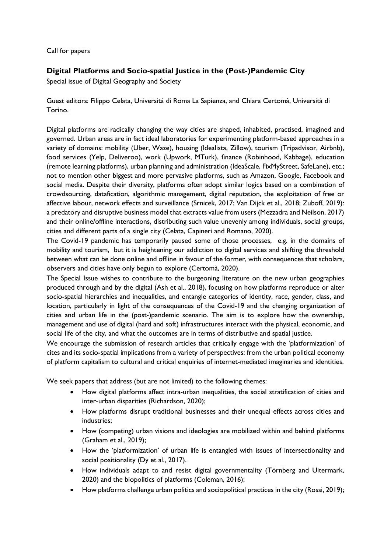Call for papers

## Digital Platforms and Socio-spatial Justice in the (Post-)Pandemic City

Special issue of Digital Geography and Society

Guest editors: Filippo Celata, Università di Roma La Sapienza, and Chiara Certomà, Università di Torino.

Digital platforms are radically changing the way cities are shaped, inhabited, practised, imagined and governed. Urban areas are in fact ideal laboratories for experimenting platform-based approaches in a variety of domains: mobility (Uber, Waze), housing (Idealista, Zillow), tourism (Tripadvisor, Airbnb), food services (Yelp, Deliveroo), work (Upwork, MTurk), finance (Robinhood, Kabbage), education (remote learning platforms), urban planning and administration (IdeaScale, FixMyStreet, SafeLane), etc.; not to mention other biggest and more pervasive platforms, such as Amazon, Google, Facebook and social media. Despite their diversity, platforms often adopt similar logics based on a combination of crowdsourcing, datafication, algorithmic management, digital reputation, the exploitation of free or affective labour, network effects and surveillance (Srnicek, 2017; Van Dijck et al., 2018; Zuboff, 2019): a predatory and disruptive business model that extracts value from users (Mezzadra and Neilson, 2017) and their online/offline interactions, distributing such value unevenly among individuals, social groups, cities and different parts of a single city (Celata, Capineri and Romano, 2020).

The Covid-19 pandemic has temporarily paused some of those processes, e.g. in the domains of mobility and tourism, but it is heightening our addiction to digital services and shifting the threshold between what can be done online and offline in favour of the former, with consequences that scholars, observers and cities have only begun to explore (Certomà, 2020).

The Special Issue wishes to contribute to the burgeoning literature on the new urban geographies produced through and by the digital (Ash et al., 2018), focusing on how platforms reproduce or alter socio-spatial hierarchies and inequalities, and entangle categories of identity, race, gender, class, and location, particularly in light of the consequences of the Covid-19 and the changing organization of cities and urban life in the (post-)pandemic scenario. The aim is to explore how the ownership, management and use of digital (hard and soft) infrastructures interact with the physical, economic, and social life of the city, and what the outcomes are in terms of distributive and spatial justice.

We encourage the submission of research articles that critically engage with the 'platformization' of cites and its socio-spatial implications from a variety of perspectives: from the urban political economy of platform capitalism to cultural and critical enquiries of internet-mediated imaginaries and identities.

We seek papers that address (but are not limited) to the following themes:

- How digital platforms affect intra-urban inequalities, the social stratification of cities and inter-urban disparities (Richardson, 2020);
- How platforms disrupt traditional businesses and their unequal effects across cities and industries;
- How (competing) urban visions and ideologies are mobilized within and behind platforms (Graham et al., 2019);
- How the 'platformization' of urban life is entangled with issues of intersectionality and social positionality (Dy et al., 2017).
- How individuals adapt to and resist digital governmentality (Törnberg and Uitermark, 2020) and the biopolitics of platforms (Coleman, 2016);
- How platforms challenge urban politics and sociopolitical practices in the city (Rossi, 2019);